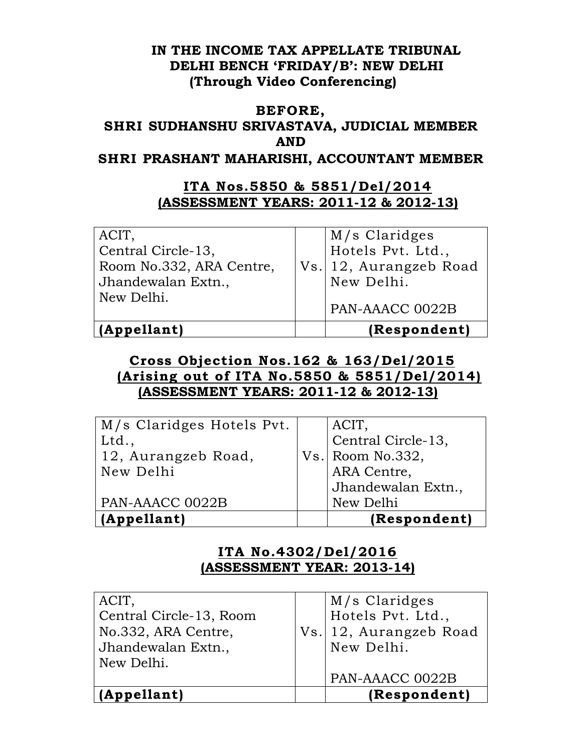### **IN THE INCOME TAX APPELLATE TRIBUNAL DELHI BENCH 'FRIDAY/B': NEW DELHI (Through Video Conferencing)**

### **BEFORE,**

# **SHRI SUDHANSHU SRIVASTAVA, JUDICIAL MEMBER AND**

**SHRI PRASHANT MAHARISHI, ACCOUNTANT MEMBER** 

### **ITA Nos.5850 & 5851/Del/2014 (ASSESSMENT YEARS: 2011-12 & 2012-13)**

| ACIT,                    | M/s Claridges          |
|--------------------------|------------------------|
| Central Circle-13,       | Hotels Pvt. Ltd.,      |
| Room No.332, ARA Centre, | Vs. 12, Aurangzeb Road |
| Jhandewalan Extn.,       | New Delhi.             |
| New Delhi.               | PAN-AAACC 0022B        |
| (Appellant)              | (Respondent)           |

## **Cross Objection Nos.162 & 163/Del/2015 (Arising out of ITA No.5850 & 5851/Del/2014) (ASSESSMENT YEARS: 2011-12 & 2012-13)**

| M/s Claridges Hotels Pvt. | ACIT,              |
|---------------------------|--------------------|
| Ltd.,                     | Central Circle-13, |
| 12, Aurangzeb Road,       | $Vs.$ Room No.332, |
| New Delhi                 | ARA Centre,        |
|                           | Jhandewalan Extn., |
| PAN-AAACC 0022B           | New Delhi          |
| (Appellant)               | (Respondent)       |

## **ITA No.4302/Del/2016 (ASSESSMENT YEAR: 2013-14)**

| ACIT,                   | M/s Claridges          |
|-------------------------|------------------------|
| Central Circle-13, Room | Hotels Pvt. Ltd.,      |
| No.332, ARA Centre,     | Vs. 12, Aurangzeb Road |
| Jhandewalan Extn.,      | New Delhi.             |
| New Delhi.              |                        |
|                         | PAN-AAACC 0022B        |
| (Appellant)             | (Respondent)           |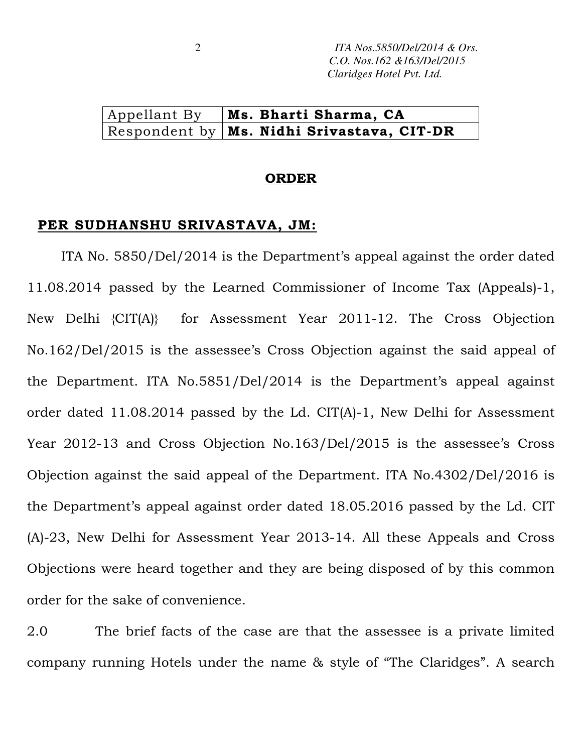### Appellant By | **Ms. Bharti Sharma, CA** Respondent by **Ms. Nidhi Srivastava, CIT-DR**

#### **ORDER**

#### **PER SUDHANSHU SRIVASTAVA, JM:**

ITA No. 5850/Del/2014 is the Department's appeal against the order dated 11.08.2014 passed by the Learned Commissioner of Income Tax (Appeals)-1, New Delhi {CIT(A)} for Assessment Year 2011-12. The Cross Objection No.162/Del/2015 is the assessee's Cross Objection against the said appeal of the Department. ITA No.5851/Del/2014 is the Department's appeal against order dated 11.08.2014 passed by the Ld. CIT(A)-1, New Delhi for Assessment Year 2012-13 and Cross Objection No.163/Del/2015 is the assessee's Cross Objection against the said appeal of the Department. ITA No.4302/Del/2016 is the Department's appeal against order dated 18.05.2016 passed by the Ld. CIT (A)-23, New Delhi for Assessment Year 2013-14. All these Appeals and Cross Objections were heard together and they are being disposed of by this common order for the sake of convenience.

2.0 The brief facts of the case are that the assessee is a private limited company running Hotels under the name & style of "The Claridges". A search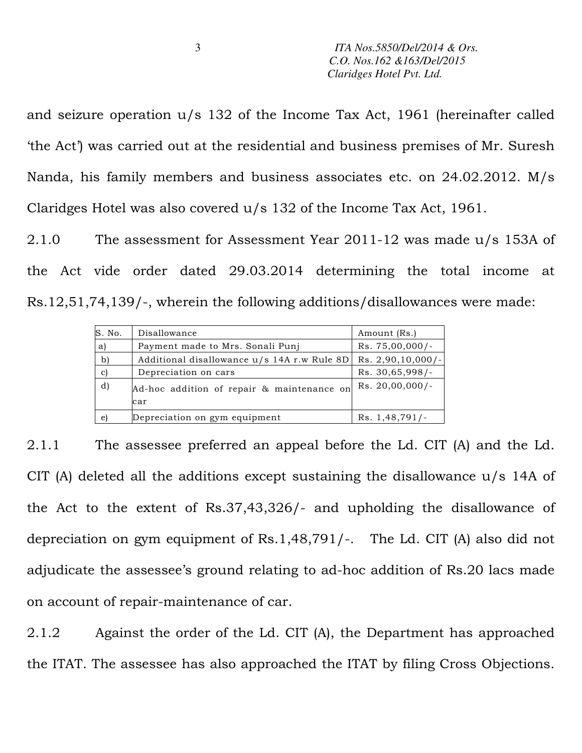and seizure operation u/s 132 of the Income Tax Act, 1961 (hereinafter called 'the Act') was carried out at the residential and business premises of Mr. Suresh Nanda, his family members and business associates etc. on 24.02.2012. M/s Claridges Hotel was also covered u/s 132 of the Income Tax Act, 1961.

2.1.0 The assessment for Assessment Year 2011-12 was made u/s 153A of the Act vide order dated 29.03.2014 determining the total income at Rs.12,51,74,139/-, wherein the following additions/disallowances were made:

| S. No. | Disallowance                                | Amount (Rs.)        |
|--------|---------------------------------------------|---------------------|
| a)     | Payment made to Mrs. Sonali Punj            | $Rs. 75,00,000/-$   |
| b)     | Additional disallowance u/s 14A r.w Rule 8D | $Rs. 2,90,10,000/-$ |
| C)     | Depreciation on cars                        | Rs. 30,65,998/-     |
| d)     | Ad-hoc addition of repair & maintenance on  | $Rs. 20,00,000/$ -  |
|        | car                                         |                     |
| e)     | Depreciation on gym equipment               | Rs. 1,48,791/-      |

2.1.1 The assessee preferred an appeal before the Ld. CIT (A) and the Ld. CIT (A) deleted all the additions except sustaining the disallowance u/s 14A of the Act to the extent of Rs.37,43,326/- and upholding the disallowance of depreciation on gym equipment of Rs.1,48,791/-. The Ld. CIT (A) also did not adjudicate the assessee's ground relating to ad-hoc addition of Rs.20 lacs made on account of repair-maintenance of car.

2.1.2 Against the order of the Ld. CIT (A), the Department has approached the ITAT. The assessee has also approached the ITAT by filing Cross Objections.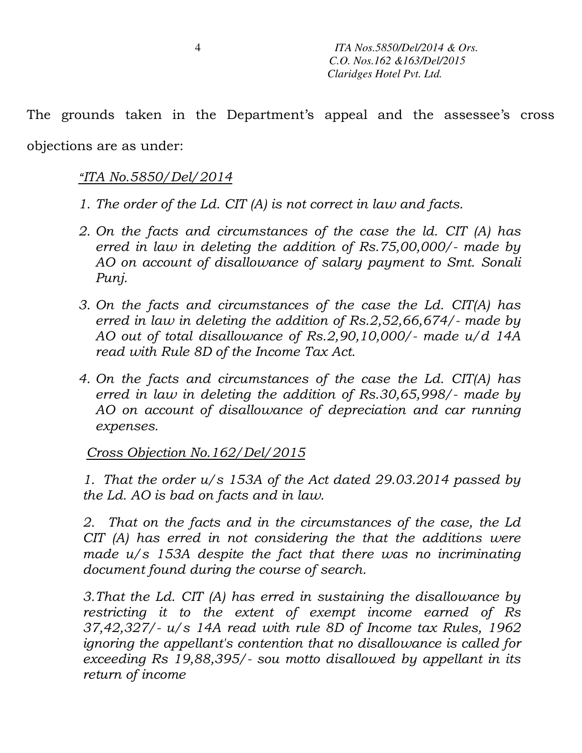The grounds taken in the Department's appeal and the assessee's cross

objections are as under:

# *"ITA No.5850/Del/2014*

- *1. The order of the Ld. CIT (A) is not correct in law and facts.*
- *2. On the facts and circumstances of the case the ld. CIT (A) has erred in law in deleting the addition of Rs.75,00,000/- made by AO on account of disallowance of salary payment to Smt. Sonali Punj.*
- *3. On the facts and circumstances of the case the Ld. CIT(A) has erred in law in deleting the addition of Rs.2,52,66,674/- made by AO out of total disallowance of Rs.2,90,10,000/- made u/d 14A read with Rule 8D of the Income Tax Act.*
- *4. On the facts and circumstances of the case the Ld. CIT(A) has erred in law in deleting the addition of Rs.30,65,998/- made by AO on account of disallowance of depreciation and car running expenses.*

# *Cross Objection No.162/Del/2015*

*1. That the order u/s 153A of the Act dated 29.03.2014 passed by the Ld. AO is bad on facts and in law.* 

*2. That on the facts and in the circumstances of the case, the Ld CIT (A) has erred in not considering the that the additions were*  made u/s 153A despite the fact that there was no incriminating *document found during the course of search.* 

*3.That the Ld. CIT (A) has erred in sustaining the disallowance by restricting it to the extent of exempt income earned of Rs 37,42,327/- u/s 14A read with rule 8D of Income tax Rules, 1962 ignoring the appellant's contention that no disallowance is called for exceeding Rs 19,88,395/- sou motto disallowed by appellant in its return of income*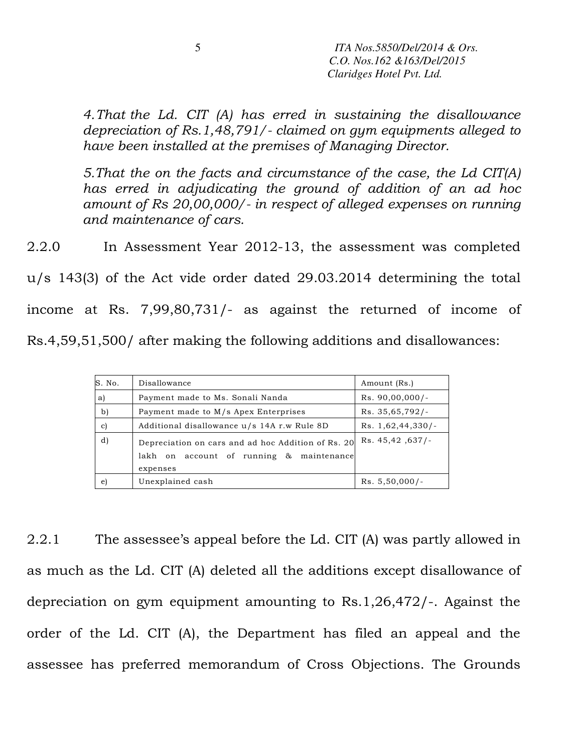*4.That the Ld. CIT (A) has erred in sustaining the disallowance depreciation of Rs.1,48,791/- claimed on gym equipments alleged to have been installed at the premises of Managing Director.* 

*5.That the on the facts and circumstance of the case, the Ld CIT(A) has erred in adjudicating the ground of addition of an ad hoc amount of Rs 20,00,000/- in respect of alleged expenses on running and maintenance of cars.* 

2.2.0 In Assessment Year 2012-13, the assessment was completed

u/s 143(3) of the Act vide order dated 29.03.2014 determining the total

income at Rs. 7,99,80,731/- as against the returned of income of

Rs.4,59,51,500/ after making the following additions and disallowances:

| S. No.       | Disallowance                                                                                               | Amount (Rs.)        |
|--------------|------------------------------------------------------------------------------------------------------------|---------------------|
| a)           | Payment made to Ms. Sonali Nanda                                                                           | $Rs. 90,00,000/$ -  |
| b)           | Payment made to M/s Apex Enterprises                                                                       | Rs. 35,65,792/      |
| $\mathbf{c}$ | Additional disallowance u/s 14A r.w Rule 8D                                                                | $Rs. 1,62,44,330/-$ |
| d)           | Depreciation on cars and ad hoc Addition of Rs. 20<br>lakh on account of running & maintenance<br>expenses | Rs. 45,42,637/      |
| e)           | Unexplained cash                                                                                           | $Rs. 5,50,000/-$    |

2.2.1 The assessee's appeal before the Ld. CIT (A) was partly allowed in as much as the Ld. CIT (A) deleted all the additions except disallowance of depreciation on gym equipment amounting to Rs.1,26,472/-. Against the order of the Ld. CIT (A), the Department has filed an appeal and the assessee has preferred memorandum of Cross Objections. The Grounds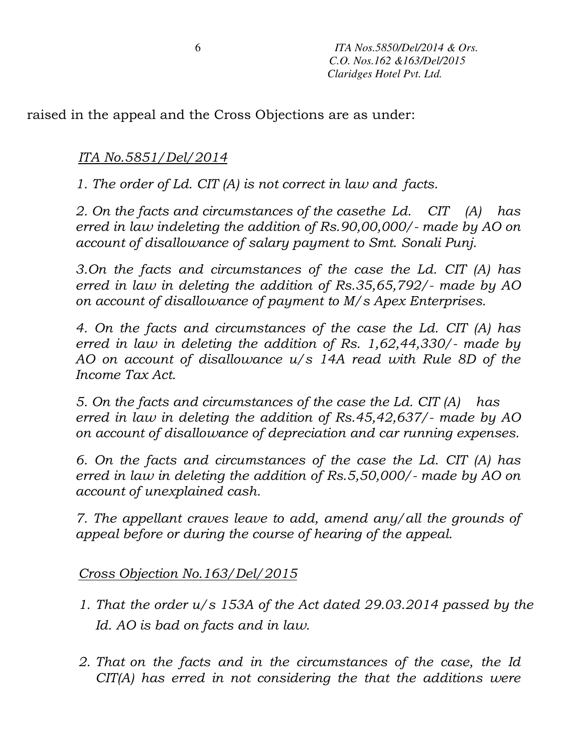raised in the appeal and the Cross Objections are as under:

*ITA No.5851/Del/2014*

*1. The order of Ld. CIT (A) is not correct in law and facts.* 

*2. On the facts and circumstances of the casethe Ld. CIT (A) has erred in law indeleting the addition of Rs.90,00,000/- made by AO on account of disallowance of salary payment to Smt. Sonali Punj.* 

*3.On the facts and circumstances of the case the Ld. CIT (A) has erred in law in deleting the addition of Rs.35,65,792/- made by AO on account of disallowance of payment to M/s Apex Enterprises.* 

*4. On the facts and circumstances of the case the Ld. CIT (A) has erred in law in deleting the addition of Rs. 1,62,44,330/- made by AO on account of disallowance u/s 14A read with Rule 8D of the Income Tax Act.* 

*5. On the facts and circumstances of the case the Ld. CIT (A) has erred in law in deleting the addition of Rs.45,42,637/- made by AO on account of disallowance of depreciation and car running expenses.* 

*6. On the facts and circumstances of the case the Ld. CIT (A) has erred in law in deleting the addition of Rs.5,50,000/- made by AO on account of unexplained cash.* 

*7. The appellant craves leave to add, amend any/all the grounds of appeal before or during the course of hearing of the appeal.* 

# *Cross Objection No.163/Del/2015*

- *1. That the order u/s 153A of the Act dated 29.03.2014 passed by the Id. AO is bad on facts and in law.*
- *2. That on the facts and in the circumstances of the case, the Id CIT(A) has erred in not considering the that the additions were*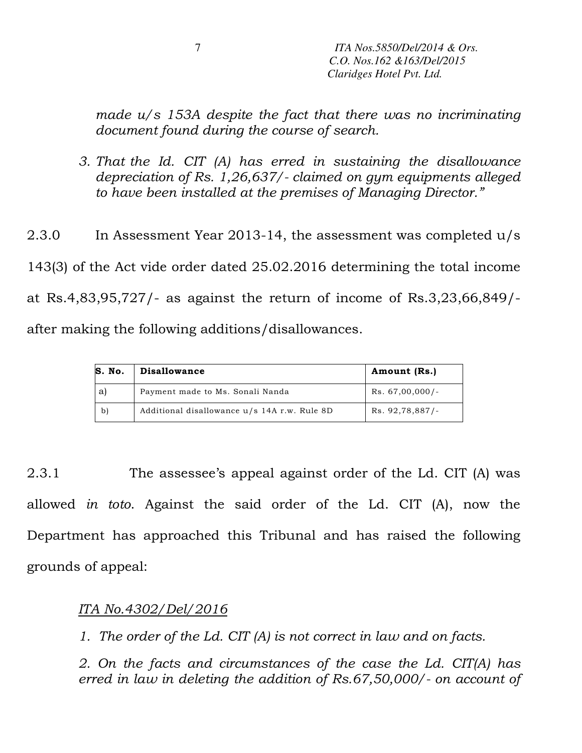*made u/s 153A despite the fact that there was no incriminating document found during the course of search.* 

*3. That the Id. CIT (A) has erred in sustaining the disallowance depreciation of Rs. 1,26,637/- claimed on gym equipments alleged to have been installed at the premises of Managing Director."* 

2.3.0 In Assessment Year 2013-14, the assessment was completed u/s 143(3) of the Act vide order dated 25.02.2016 determining the total income at Rs.4,83,95,727/- as against the return of income of Rs.3,23,66,849/ after making the following additions/disallowances.

| S. No. | <b>Disallowance</b>                          | Amount (Rs.)      |
|--------|----------------------------------------------|-------------------|
| a      | Payment made to Ms. Sonali Nanda             | $Rs. 67,00,000/-$ |
| b)     | Additional disallowance u/s 14A r.w. Rule 8D | Rs. 92,78,887/-   |

2.3.1 The assessee's appeal against order of the Ld. CIT (A) was allowed *in toto*. Against the said order of the Ld. CIT (A), now the Department has approached this Tribunal and has raised the following grounds of appeal:

### *ITA No.4302/Del/2016*

*1. The order of the Ld. CIT (A) is not correct in law and on facts.* 

*2. On the facts and circumstances of the case the Ld. CIT(A) has erred in law in deleting the addition of Rs.67,50,000/- on account of*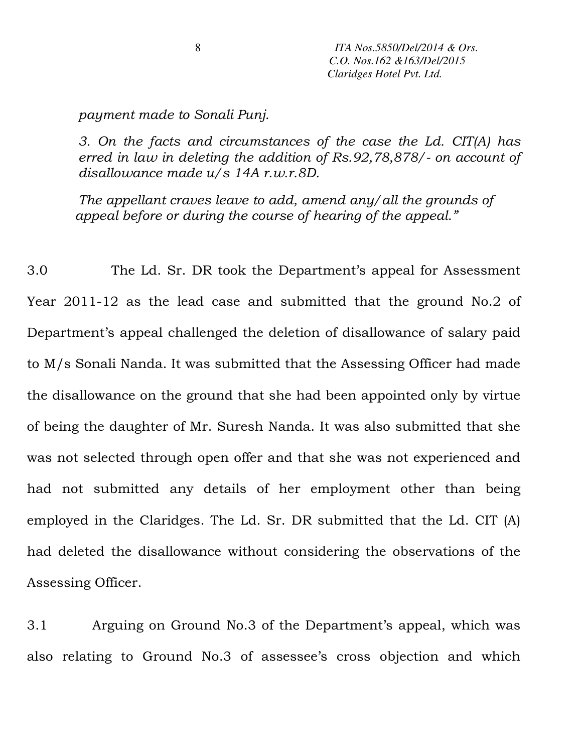### *payment made to Sonali Punj.*

*3. On the facts and circumstances of the case the Ld. CIT(A) has erred in law in deleting the addition of Rs.92,78,878/- on account of disallowance made u/s 14A r.w.r.8D.* 

*The appellant craves leave to add, amend any/all the grounds of appeal before or during the course of hearing of the appeal."* 

3.0 The Ld. Sr. DR took the Department's appeal for Assessment Year 2011-12 as the lead case and submitted that the ground No.2 of Department's appeal challenged the deletion of disallowance of salary paid to M/s Sonali Nanda. It was submitted that the Assessing Officer had made the disallowance on the ground that she had been appointed only by virtue of being the daughter of Mr. Suresh Nanda. It was also submitted that she was not selected through open offer and that she was not experienced and had not submitted any details of her employment other than being employed in the Claridges. The Ld. Sr. DR submitted that the Ld. CIT (A) had deleted the disallowance without considering the observations of the Assessing Officer.

3.1 Arguing on Ground No.3 of the Department's appeal, which was also relating to Ground No.3 of assessee's cross objection and which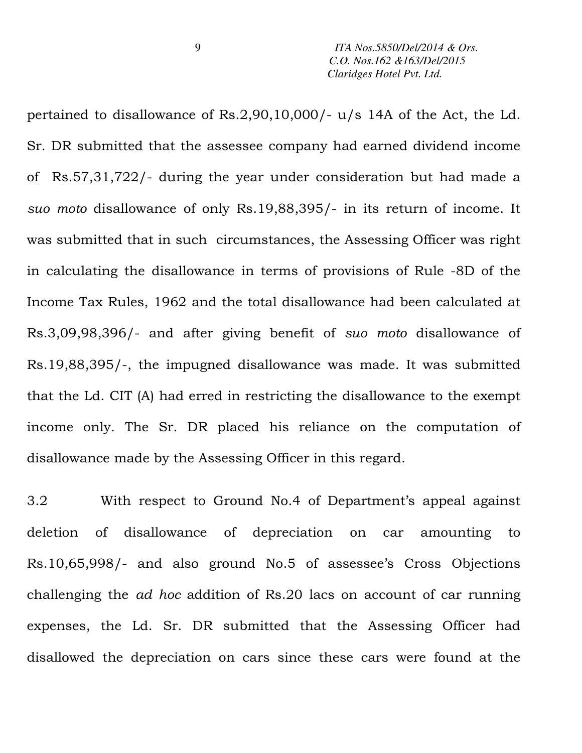pertained to disallowance of Rs.2,90,10,000/- u/s 14A of the Act, the Ld. Sr. DR submitted that the assessee company had earned dividend income of Rs.57,31,722/- during the year under consideration but had made a *suo moto* disallowance of only Rs.19,88,395/- in its return of income. It was submitted that in such circumstances, the Assessing Officer was right in calculating the disallowance in terms of provisions of Rule -8D of the Income Tax Rules, 1962 and the total disallowance had been calculated at Rs.3,09,98,396/- and after giving benefit of *suo moto* disallowance of Rs.19,88,395/-, the impugned disallowance was made. It was submitted that the Ld. CIT (A) had erred in restricting the disallowance to the exempt income only. The Sr. DR placed his reliance on the computation of disallowance made by the Assessing Officer in this regard.

3.2 With respect to Ground No.4 of Department's appeal against deletion of disallowance of depreciation on car amounting to Rs.10,65,998/- and also ground No.5 of assessee's Cross Objections challenging the *ad hoc* addition of Rs.20 lacs on account of car running expenses, the Ld. Sr. DR submitted that the Assessing Officer had disallowed the depreciation on cars since these cars were found at the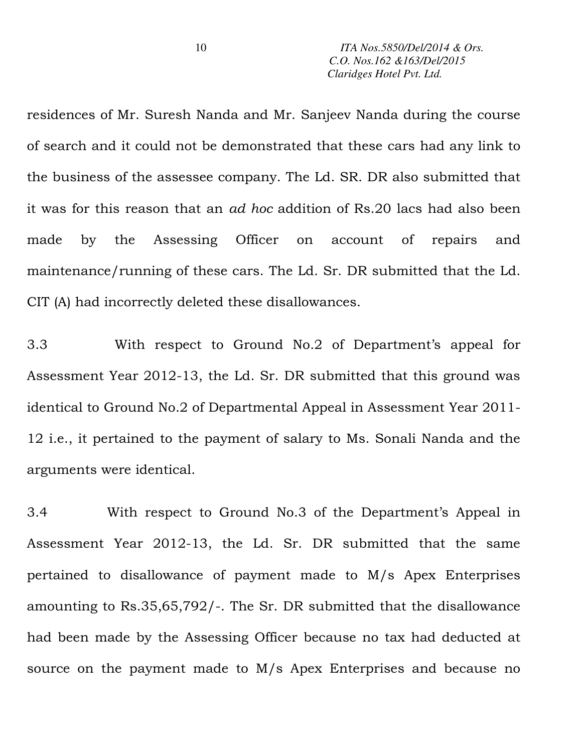residences of Mr. Suresh Nanda and Mr. Sanjeev Nanda during the course of search and it could not be demonstrated that these cars had any link to the business of the assessee company. The Ld. SR. DR also submitted that it was for this reason that an *ad hoc* addition of Rs.20 lacs had also been made by the Assessing Officer on account of repairs and maintenance/running of these cars. The Ld. Sr. DR submitted that the Ld. CIT (A) had incorrectly deleted these disallowances.

3.3 With respect to Ground No.2 of Department's appeal for Assessment Year 2012-13, the Ld. Sr. DR submitted that this ground was identical to Ground No.2 of Departmental Appeal in Assessment Year 2011- 12 i.e., it pertained to the payment of salary to Ms. Sonali Nanda and the arguments were identical.

3.4 With respect to Ground No.3 of the Department's Appeal in Assessment Year 2012-13, the Ld. Sr. DR submitted that the same pertained to disallowance of payment made to M/s Apex Enterprises amounting to Rs.35,65,792/-. The Sr. DR submitted that the disallowance had been made by the Assessing Officer because no tax had deducted at source on the payment made to M/s Apex Enterprises and because no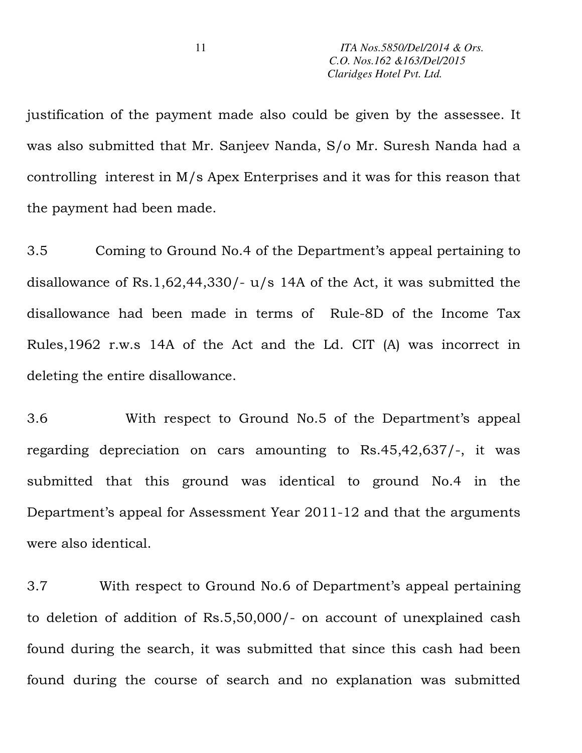justification of the payment made also could be given by the assessee. It was also submitted that Mr. Sanjeev Nanda, S/o Mr. Suresh Nanda had a controlling interest in M/s Apex Enterprises and it was for this reason that the payment had been made.

3.5 Coming to Ground No.4 of the Department's appeal pertaining to disallowance of Rs.1,62,44,330/- u/s 14A of the Act, it was submitted the disallowance had been made in terms of Rule-8D of the Income Tax Rules,1962 r.w.s 14A of the Act and the Ld. CIT (A) was incorrect in deleting the entire disallowance.

3.6 With respect to Ground No.5 of the Department's appeal regarding depreciation on cars amounting to Rs.45,42,637/-, it was submitted that this ground was identical to ground No.4 in the Department's appeal for Assessment Year 2011-12 and that the arguments were also identical.

3.7 With respect to Ground No.6 of Department's appeal pertaining to deletion of addition of Rs.5,50,000/- on account of unexplained cash found during the search, it was submitted that since this cash had been found during the course of search and no explanation was submitted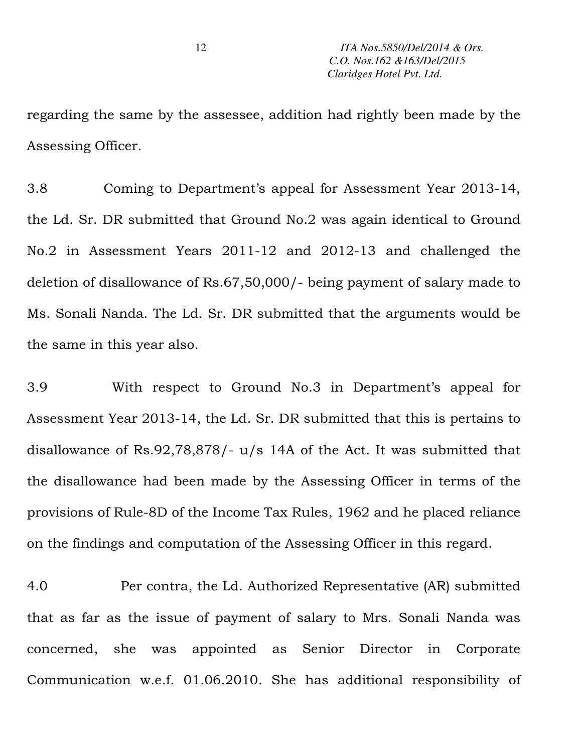regarding the same by the assessee, addition had rightly been made by the Assessing Officer.

3.8 Coming to Department's appeal for Assessment Year 2013-14, the Ld. Sr. DR submitted that Ground No.2 was again identical to Ground No.2 in Assessment Years 2011-12 and 2012-13 and challenged the deletion of disallowance of Rs.67,50,000/- being payment of salary made to Ms. Sonali Nanda. The Ld. Sr. DR submitted that the arguments would be the same in this year also.

3.9 With respect to Ground No.3 in Department's appeal for Assessment Year 2013-14, the Ld. Sr. DR submitted that this is pertains to disallowance of Rs.92,78,878/- u/s 14A of the Act. It was submitted that the disallowance had been made by the Assessing Officer in terms of the provisions of Rule-8D of the Income Tax Rules, 1962 and he placed reliance on the findings and computation of the Assessing Officer in this regard.

4.0 Per contra, the Ld. Authorized Representative (AR) submitted that as far as the issue of payment of salary to Mrs. Sonali Nanda was concerned, she was appointed as Senior Director in Corporate Communication w.e.f. 01.06.2010. She has additional responsibility of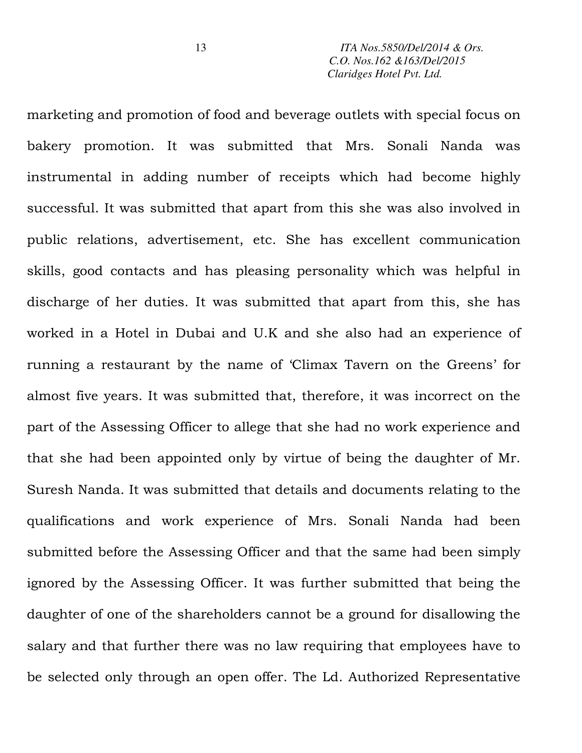marketing and promotion of food and beverage outlets with special focus on bakery promotion. It was submitted that Mrs. Sonali Nanda was instrumental in adding number of receipts which had become highly successful. It was submitted that apart from this she was also involved in public relations, advertisement, etc. She has excellent communication skills, good contacts and has pleasing personality which was helpful in discharge of her duties. It was submitted that apart from this, she has worked in a Hotel in Dubai and U.K and she also had an experience of running a restaurant by the name of 'Climax Tavern on the Greens' for almost five years. It was submitted that, therefore, it was incorrect on the part of the Assessing Officer to allege that she had no work experience and that she had been appointed only by virtue of being the daughter of Mr. Suresh Nanda. It was submitted that details and documents relating to the qualifications and work experience of Mrs. Sonali Nanda had been submitted before the Assessing Officer and that the same had been simply ignored by the Assessing Officer. It was further submitted that being the daughter of one of the shareholders cannot be a ground for disallowing the salary and that further there was no law requiring that employees have to be selected only through an open offer. The Ld. Authorized Representative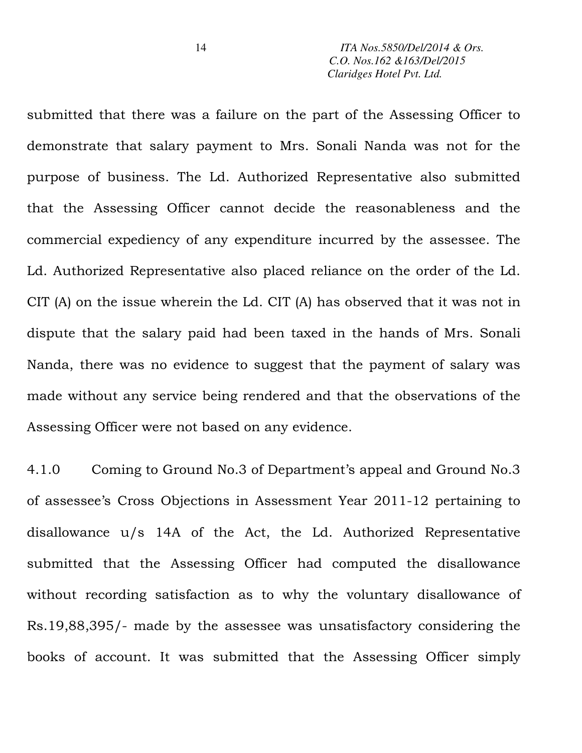submitted that there was a failure on the part of the Assessing Officer to demonstrate that salary payment to Mrs. Sonali Nanda was not for the purpose of business. The Ld. Authorized Representative also submitted that the Assessing Officer cannot decide the reasonableness and the commercial expediency of any expenditure incurred by the assessee. The Ld. Authorized Representative also placed reliance on the order of the Ld. CIT (A) on the issue wherein the Ld. CIT (A) has observed that it was not in dispute that the salary paid had been taxed in the hands of Mrs. Sonali Nanda, there was no evidence to suggest that the payment of salary was made without any service being rendered and that the observations of the Assessing Officer were not based on any evidence.

4.1.0 Coming to Ground No.3 of Department's appeal and Ground No.3 of assessee's Cross Objections in Assessment Year 2011-12 pertaining to disallowance u/s 14A of the Act, the Ld. Authorized Representative submitted that the Assessing Officer had computed the disallowance without recording satisfaction as to why the voluntary disallowance of Rs.19,88,395/- made by the assessee was unsatisfactory considering the books of account. It was submitted that the Assessing Officer simply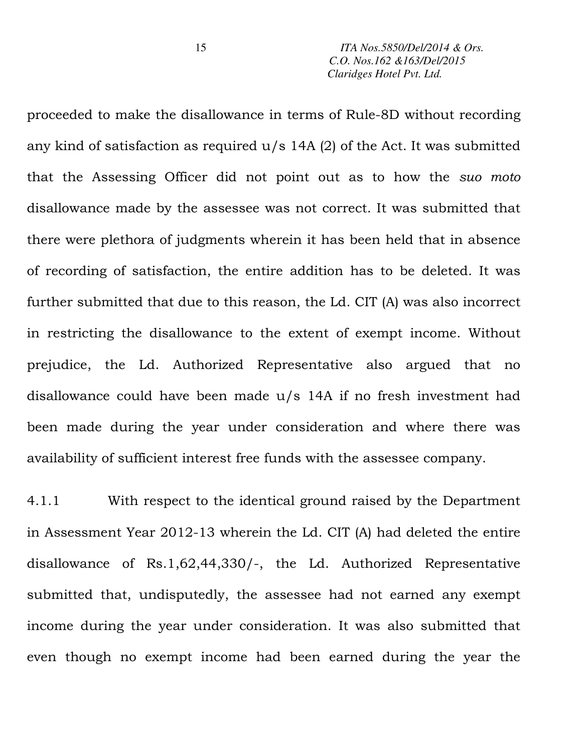proceeded to make the disallowance in terms of Rule-8D without recording any kind of satisfaction as required  $u/s$  14A (2) of the Act. It was submitted that the Assessing Officer did not point out as to how the *suo moto* disallowance made by the assessee was not correct. It was submitted that there were plethora of judgments wherein it has been held that in absence of recording of satisfaction, the entire addition has to be deleted. It was further submitted that due to this reason, the Ld. CIT (A) was also incorrect in restricting the disallowance to the extent of exempt income. Without prejudice, the Ld. Authorized Representative also argued that no disallowance could have been made u/s 14A if no fresh investment had been made during the year under consideration and where there was availability of sufficient interest free funds with the assessee company.

4.1.1 With respect to the identical ground raised by the Department in Assessment Year 2012-13 wherein the Ld. CIT (A) had deleted the entire disallowance of Rs.1,62,44,330/-, the Ld. Authorized Representative submitted that, undisputedly, the assessee had not earned any exempt income during the year under consideration. It was also submitted that even though no exempt income had been earned during the year the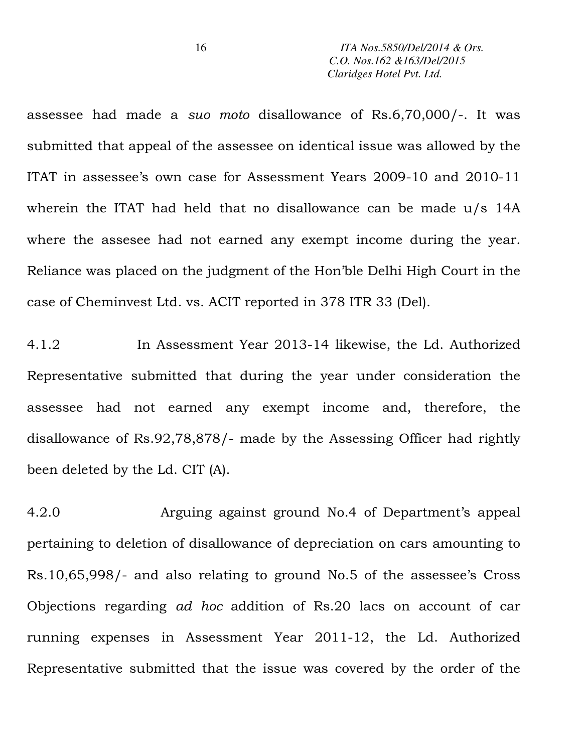assessee had made a *suo moto* disallowance of Rs.6,70,000/-. It was submitted that appeal of the assessee on identical issue was allowed by the ITAT in assessee's own case for Assessment Years 2009-10 and 2010-11 wherein the ITAT had held that no disallowance can be made u/s 14A where the assesee had not earned any exempt income during the year. Reliance was placed on the judgment of the Hon'ble Delhi High Court in the case of Cheminvest Ltd. vs. ACIT reported in 378 ITR 33 (Del).

4.1.2 In Assessment Year 2013-14 likewise, the Ld. Authorized Representative submitted that during the year under consideration the assessee had not earned any exempt income and, therefore, the disallowance of Rs.92,78,878/- made by the Assessing Officer had rightly been deleted by the Ld. CIT (A).

4.2.0 Arguing against ground No.4 of Department's appeal pertaining to deletion of disallowance of depreciation on cars amounting to Rs.10,65,998/- and also relating to ground No.5 of the assessee's Cross Objections regarding *ad hoc* addition of Rs.20 lacs on account of car running expenses in Assessment Year 2011-12, the Ld. Authorized Representative submitted that the issue was covered by the order of the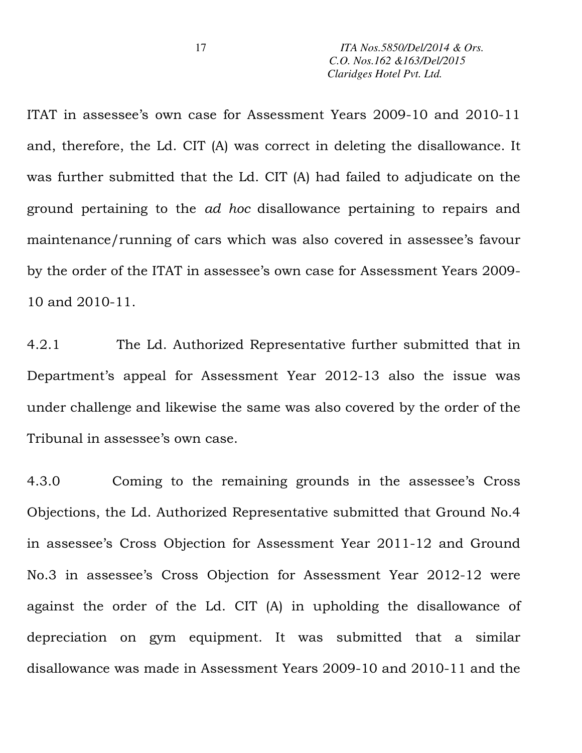ITAT in assessee's own case for Assessment Years 2009-10 and 2010-11 and, therefore, the Ld. CIT (A) was correct in deleting the disallowance. It was further submitted that the Ld. CIT (A) had failed to adjudicate on the ground pertaining to the *ad hoc* disallowance pertaining to repairs and maintenance/running of cars which was also covered in assessee's favour by the order of the ITAT in assessee's own case for Assessment Years 2009- 10 and 2010-11.

4.2.1 The Ld. Authorized Representative further submitted that in Department's appeal for Assessment Year 2012-13 also the issue was under challenge and likewise the same was also covered by the order of the Tribunal in assessee's own case.

4.3.0 Coming to the remaining grounds in the assessee's Cross Objections, the Ld. Authorized Representative submitted that Ground No.4 in assessee's Cross Objection for Assessment Year 2011-12 and Ground No.3 in assessee's Cross Objection for Assessment Year 2012-12 were against the order of the Ld. CIT (A) in upholding the disallowance of depreciation on gym equipment. It was submitted that a similar disallowance was made in Assessment Years 2009-10 and 2010-11 and the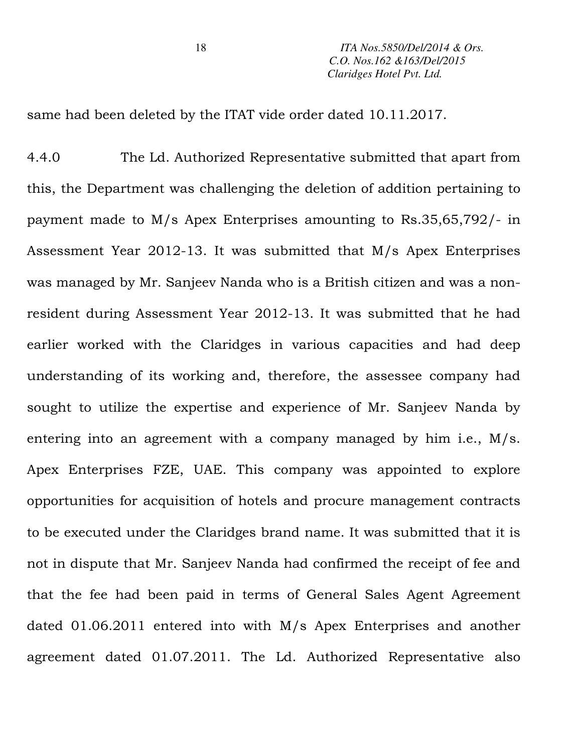same had been deleted by the ITAT vide order dated 10.11.2017.

4.4.0 The Ld. Authorized Representative submitted that apart from this, the Department was challenging the deletion of addition pertaining to payment made to M/s Apex Enterprises amounting to Rs.35,65,792/- in Assessment Year 2012-13. It was submitted that M/s Apex Enterprises was managed by Mr. Sanjeev Nanda who is a British citizen and was a nonresident during Assessment Year 2012-13. It was submitted that he had earlier worked with the Claridges in various capacities and had deep understanding of its working and, therefore, the assessee company had sought to utilize the expertise and experience of Mr. Sanjeev Nanda by entering into an agreement with a company managed by him i.e., M/s. Apex Enterprises FZE, UAE. This company was appointed to explore opportunities for acquisition of hotels and procure management contracts to be executed under the Claridges brand name. It was submitted that it is not in dispute that Mr. Sanjeev Nanda had confirmed the receipt of fee and that the fee had been paid in terms of General Sales Agent Agreement dated 01.06.2011 entered into with M/s Apex Enterprises and another agreement dated 01.07.2011. The Ld. Authorized Representative also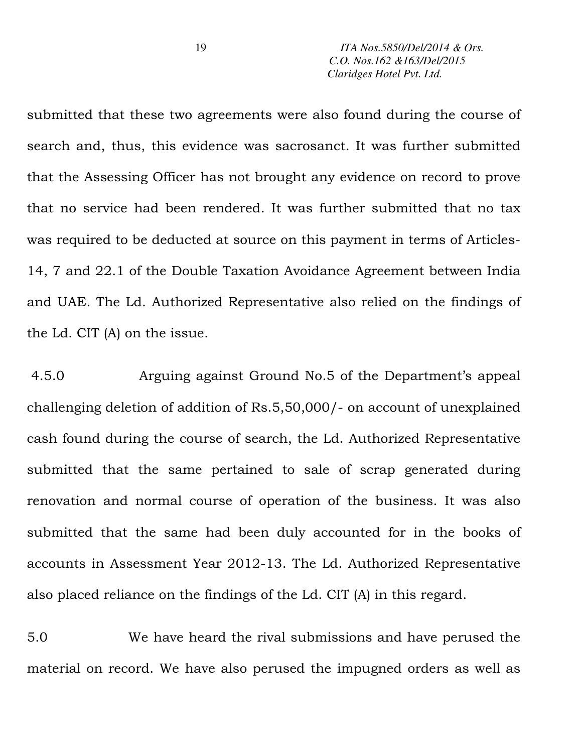submitted that these two agreements were also found during the course of search and, thus, this evidence was sacrosanct. It was further submitted that the Assessing Officer has not brought any evidence on record to prove that no service had been rendered. It was further submitted that no tax was required to be deducted at source on this payment in terms of Articles-14, 7 and 22.1 of the Double Taxation Avoidance Agreement between India and UAE. The Ld. Authorized Representative also relied on the findings of the Ld. CIT (A) on the issue.

 4.5.0 Arguing against Ground No.5 of the Department's appeal challenging deletion of addition of Rs.5,50,000/- on account of unexplained cash found during the course of search, the Ld. Authorized Representative submitted that the same pertained to sale of scrap generated during renovation and normal course of operation of the business. It was also submitted that the same had been duly accounted for in the books of accounts in Assessment Year 2012-13. The Ld. Authorized Representative also placed reliance on the findings of the Ld. CIT (A) in this regard.

5.0 We have heard the rival submissions and have perused the material on record. We have also perused the impugned orders as well as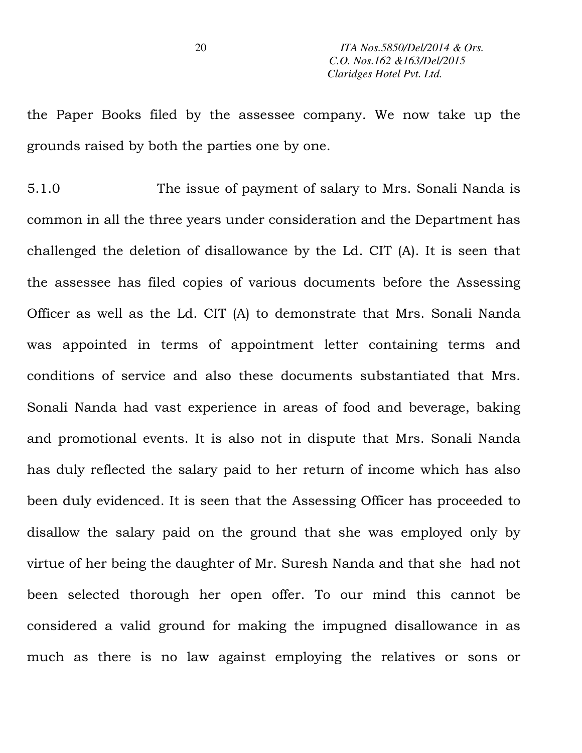the Paper Books filed by the assessee company. We now take up the grounds raised by both the parties one by one.

5.1.0 The issue of payment of salary to Mrs. Sonali Nanda is common in all the three years under consideration and the Department has challenged the deletion of disallowance by the Ld. CIT (A). It is seen that the assessee has filed copies of various documents before the Assessing Officer as well as the Ld. CIT (A) to demonstrate that Mrs. Sonali Nanda was appointed in terms of appointment letter containing terms and conditions of service and also these documents substantiated that Mrs. Sonali Nanda had vast experience in areas of food and beverage, baking and promotional events. It is also not in dispute that Mrs. Sonali Nanda has duly reflected the salary paid to her return of income which has also been duly evidenced. It is seen that the Assessing Officer has proceeded to disallow the salary paid on the ground that she was employed only by virtue of her being the daughter of Mr. Suresh Nanda and that she had not been selected thorough her open offer. To our mind this cannot be considered a valid ground for making the impugned disallowance in as much as there is no law against employing the relatives or sons or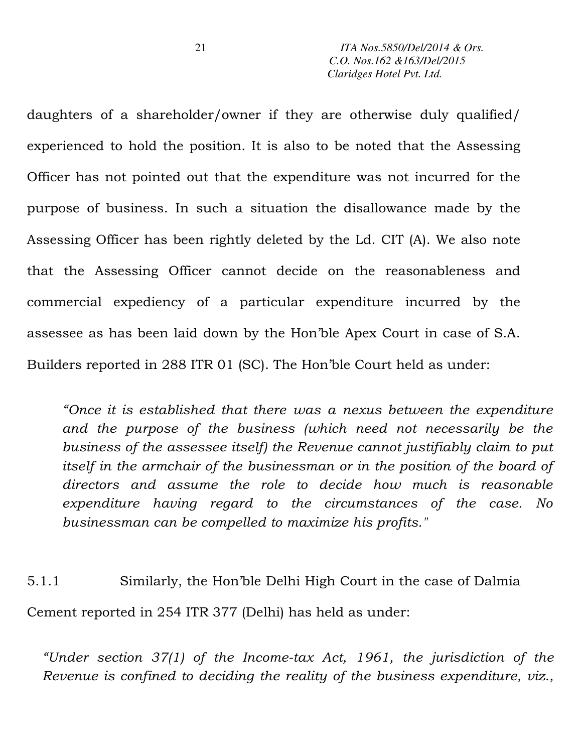daughters of a shareholder/owner if they are otherwise duly qualified/ experienced to hold the position. It is also to be noted that the Assessing Officer has not pointed out that the expenditure was not incurred for the purpose of business. In such a situation the disallowance made by the Assessing Officer has been rightly deleted by the Ld. CIT (A). We also note that the Assessing Officer cannot decide on the reasonableness and commercial expediency of a particular expenditure incurred by the assessee as has been laid down by the Hon'ble Apex Court in case of S.A. Builders reported in 288 ITR 01 (SC). The Hon'ble Court held as under:

*"Once it is established that there was a nexus between the expenditure and the purpose of the business (which need not necessarily be the business of the assessee itself) the Revenue cannot justifiably claim to put itself in the armchair of the businessman or in the position of the board of directors and assume the role to decide how much is reasonable expenditure having regard to the circumstances of the case. No businessman can be compelled to maximize his profits."* 

5.1.1 Similarly, the Hon'ble Delhi High Court in the case of Dalmia Cement reported in 254 ITR 377 (Delhi) has held as under:

*"Under section 37(1) of the Income-tax Act, 1961, the jurisdiction of the Revenue is confined to deciding the reality of the business expenditure, viz.,*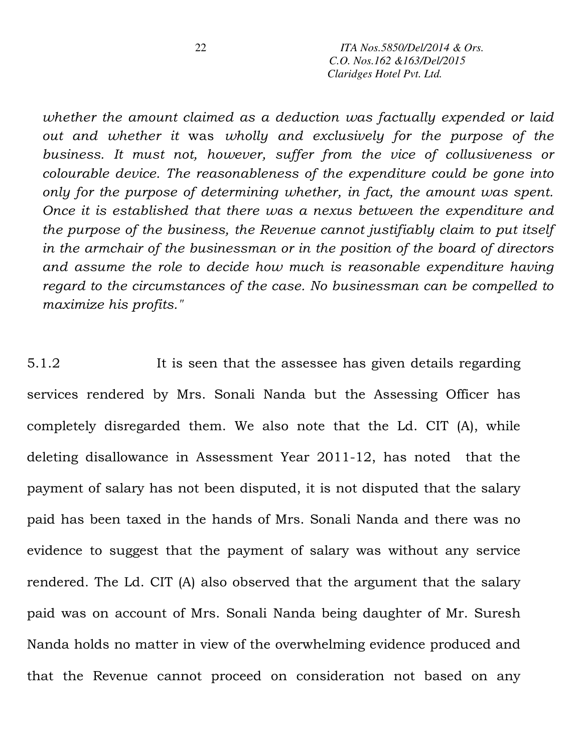*whether the amount claimed as a deduction was factually expended or laid out and whether it* was *wholly and exclusively for the purpose of the business. It must not, however, suffer from the vice of collusiveness or colourable device. The reasonableness of the expenditure could be gone into only for the purpose of determining whether, in fact, the amount was spent. Once it is established that there was a nexus between the expenditure and the purpose of the business, the Revenue cannot justifiably claim to put itself in the armchair of the businessman or in the position of the board of directors and assume the role to decide how much is reasonable expenditure having regard to the circumstances of the case. No businessman can be compelled to maximize his profits."* 

5.1.2 It is seen that the assessee has given details regarding services rendered by Mrs. Sonali Nanda but the Assessing Officer has completely disregarded them. We also note that the Ld. CIT (A), while deleting disallowance in Assessment Year 2011-12, has noted that the payment of salary has not been disputed, it is not disputed that the salary paid has been taxed in the hands of Mrs. Sonali Nanda and there was no evidence to suggest that the payment of salary was without any service rendered. The Ld. CIT (A) also observed that the argument that the salary paid was on account of Mrs. Sonali Nanda being daughter of Mr. Suresh Nanda holds no matter in view of the overwhelming evidence produced and that the Revenue cannot proceed on consideration not based on any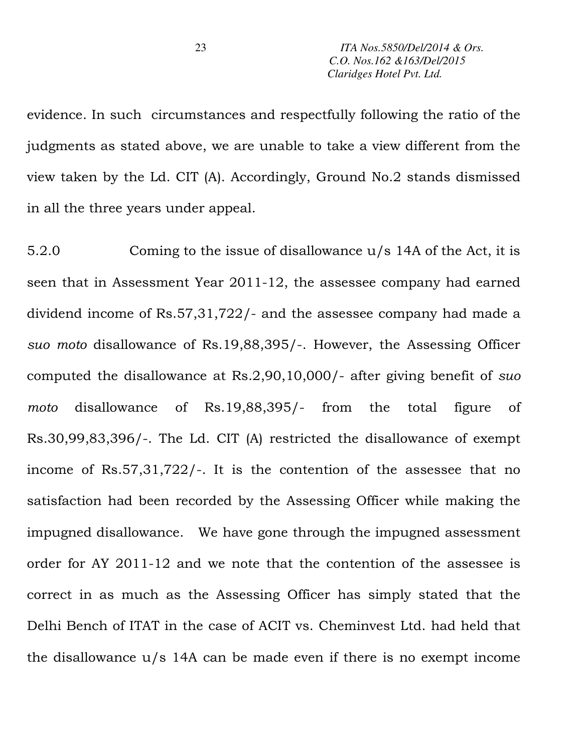evidence. In such circumstances and respectfully following the ratio of the judgments as stated above, we are unable to take a view different from the view taken by the Ld. CIT (A). Accordingly, Ground No.2 stands dismissed in all the three years under appeal.

5.2.0 Coming to the issue of disallowance u/s 14A of the Act, it is seen that in Assessment Year 2011-12, the assessee company had earned dividend income of Rs.57,31,722/- and the assessee company had made a *suo moto* disallowance of Rs.19,88,395/-. However, the Assessing Officer computed the disallowance at Rs.2,90,10,000/- after giving benefit of *suo moto* disallowance of Rs.19,88,395/- from the total figure of Rs.30,99,83,396/-. The Ld. CIT (A) restricted the disallowance of exempt income of Rs.57,31,722/-. It is the contention of the assessee that no satisfaction had been recorded by the Assessing Officer while making the impugned disallowance. We have gone through the impugned assessment order for AY 2011-12 and we note that the contention of the assessee is correct in as much as the Assessing Officer has simply stated that the Delhi Bench of ITAT in the case of ACIT vs. Cheminvest Ltd. had held that the disallowance  $u/s$  14A can be made even if there is no exempt income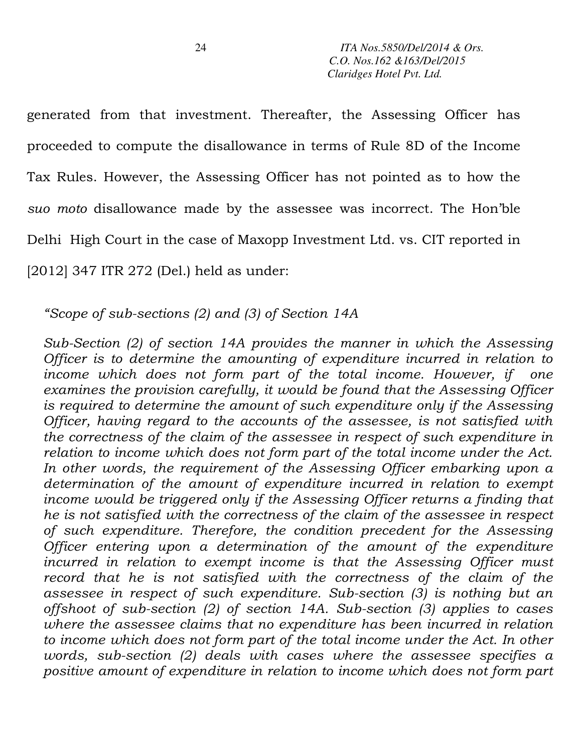generated from that investment. Thereafter, the Assessing Officer has proceeded to compute the disallowance in terms of Rule 8D of the Income Tax Rules. However, the Assessing Officer has not pointed as to how the *suo moto* disallowance made by the assessee was incorrect. The Hon'ble Delhi High Court in the case of Maxopp Investment Ltd. vs. CIT reported in [2012] 347 ITR 272 (Del.) held as under:

*"Scope of sub-sections (2) and (3) of Section 14A* 

*Sub-Section (2) of section 14A provides the manner in which the Assessing Officer is to determine the amounting of expenditure incurred in relation to income which does not form part of the total income. However, if one examines the provision carefully, it would be found that the Assessing Officer is required to determine the amount of such expenditure only if the Assessing Officer, having regard to the accounts of the assessee, is not satisfied with the correctness of the claim of the assessee in respect of such expenditure in relation to income which does not form part of the total income under the Act.*  In other words, the requirement of the Assessing Officer embarking upon a *determination of the amount of expenditure incurred in relation to exempt income would be triggered only if the Assessing Officer returns a finding that he is not satisfied with the correctness of the claim of the assessee in respect of such expenditure. Therefore, the condition precedent for the Assessing Officer entering upon a determination of the amount of the expenditure*  incurred in relation to exempt income is that the Assessing Officer must *record that he is not satisfied with the correctness of the claim of the assessee in respect of such expenditure. Sub-section (3) is nothing but an offshoot of sub-section (2) of section 14A. Sub-section (3) applies to cases where the assessee claims that no expenditure has been incurred in relation*  to income which does not form part of the total income under the Act. In other *words, sub-section (2) deals with cases where the assessee specifies a positive amount of expenditure in relation to income which does not form part*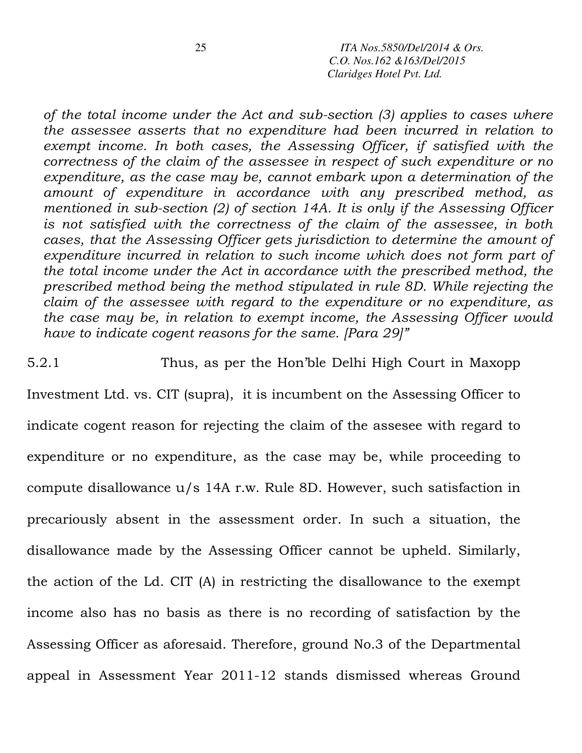*of the total income under the Act and sub-section (3) applies to cases where the assessee asserts that no expenditure had been incurred in relation to exempt income. In both cases, the Assessing Officer, if satisfied with the correctness of the claim of the assessee in respect of such expenditure or no expenditure, as the case may be, cannot embark upon a determination of the amount of expenditure in accordance with any prescribed method, as mentioned in sub-section (2) of section 14A. It is only if the Assessing Officer is not satisfied with the correctness of the claim of the assessee, in both cases, that the Assessing Officer gets jurisdiction to determine the amount of expenditure incurred in relation to such income which does not form part of the total income under the Act in accordance with the prescribed method, the prescribed method being the method stipulated in rule 8D. While rejecting the claim of the assessee with regard to the expenditure or no expenditure, as the case may be, in relation to exempt income, the Assessing Officer would have to indicate cogent reasons for the same. [Para 29]"* 

5.2.1 Thus, as per the Hon'ble Delhi High Court in Maxopp Investment Ltd. vs. CIT (supra), it is incumbent on the Assessing Officer to indicate cogent reason for rejecting the claim of the assesee with regard to expenditure or no expenditure, as the case may be, while proceeding to compute disallowance u/s 14A r.w. Rule 8D. However, such satisfaction in precariously absent in the assessment order. In such a situation, the disallowance made by the Assessing Officer cannot be upheld. Similarly, the action of the Ld. CIT (A) in restricting the disallowance to the exempt income also has no basis as there is no recording of satisfaction by the Assessing Officer as aforesaid. Therefore, ground No.3 of the Departmental appeal in Assessment Year 2011-12 stands dismissed whereas Ground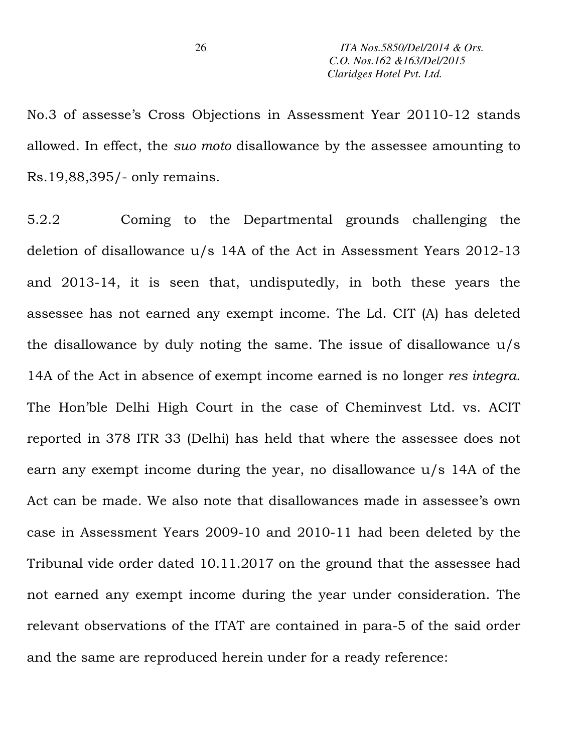No.3 of assesse's Cross Objections in Assessment Year 20110-12 stands allowed. In effect, the *suo moto* disallowance by the assessee amounting to Rs.19,88,395/- only remains.

5.2.2 Coming to the Departmental grounds challenging the deletion of disallowance u/s 14A of the Act in Assessment Years 2012-13 and 2013-14, it is seen that, undisputedly, in both these years the assessee has not earned any exempt income. The Ld. CIT (A) has deleted the disallowance by duly noting the same. The issue of disallowance u/s 14A of the Act in absence of exempt income earned is no longer *res integra.* The Hon'ble Delhi High Court in the case of Cheminvest Ltd. vs. ACIT reported in 378 ITR 33 (Delhi) has held that where the assessee does not earn any exempt income during the year, no disallowance u/s 14A of the Act can be made. We also note that disallowances made in assessee's own case in Assessment Years 2009-10 and 2010-11 had been deleted by the Tribunal vide order dated 10.11.2017 on the ground that the assessee had not earned any exempt income during the year under consideration. The relevant observations of the ITAT are contained in para-5 of the said order and the same are reproduced herein under for a ready reference: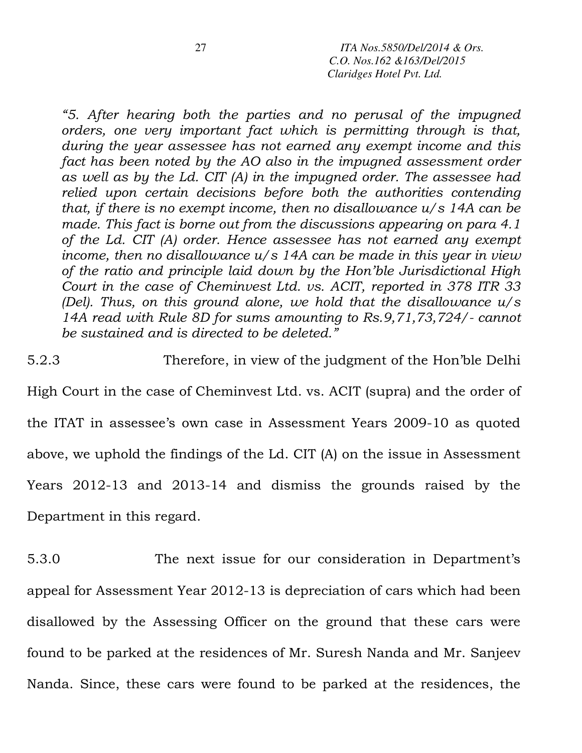*"5. After hearing both the parties and no perusal of the impugned orders, one very important fact which is permitting through is that, during the year assessee has not earned any exempt income and this fact has been noted by the AO also in the impugned assessment order as well as by the Ld. CIT (A) in the impugned order. The assessee had relied upon certain decisions before both the authorities contending that, if there is no exempt income, then no disallowance u/s 14A can be made. This fact is borne out from the discussions appearing on para 4.1 of the Ld. CIT (A) order. Hence assessee has not earned any exempt income, then no disallowance u/s 14A can be made in this year in view of the ratio and principle laid down by the Hon'ble Jurisdictional High Court in the case of Cheminvest Ltd. vs. ACIT, reported in 378 ITR 33 (Del). Thus, on this ground alone, we hold that the disallowance u/s 14A read with Rule 8D for sums amounting to Rs.9,71,73,724/- cannot be sustained and is directed to be deleted."* 

5.2.3 Therefore, in view of the judgment of the Hon'ble Delhi High Court in the case of Cheminvest Ltd. vs. ACIT (supra) and the order of the ITAT in assessee's own case in Assessment Years 2009-10 as quoted above, we uphold the findings of the Ld. CIT (A) on the issue in Assessment Years 2012-13 and 2013-14 and dismiss the grounds raised by the Department in this regard.

5.3.0 The next issue for our consideration in Department's appeal for Assessment Year 2012-13 is depreciation of cars which had been disallowed by the Assessing Officer on the ground that these cars were found to be parked at the residences of Mr. Suresh Nanda and Mr. Sanjeev Nanda. Since, these cars were found to be parked at the residences, the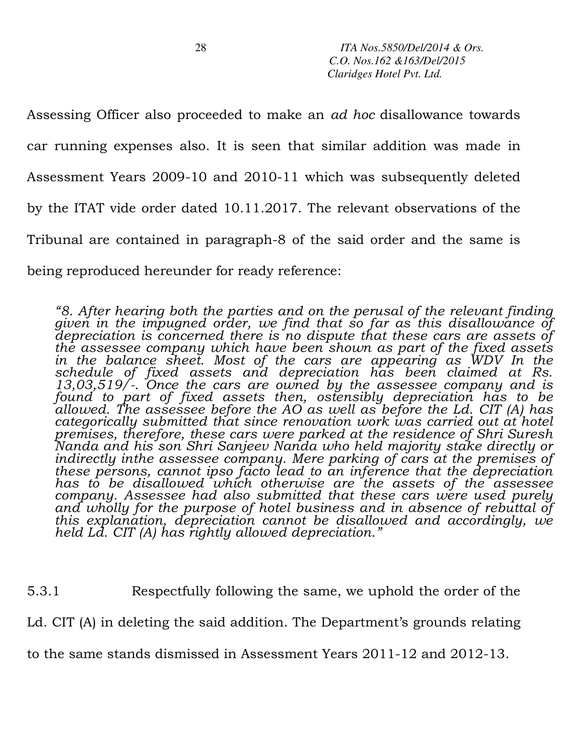Assessing Officer also proceeded to make an *ad hoc* disallowance towards car running expenses also. It is seen that similar addition was made in Assessment Years 2009-10 and 2010-11 which was subsequently deleted by the ITAT vide order dated 10.11.2017. The relevant observations of the Tribunal are contained in paragraph-8 of the said order and the same is being reproduced hereunder for ready reference:

*"8. After hearing both the parties and on the perusal of the relevant finding given in the impugned order, we find that so far as this disallowance of depreciation is concerned there is no dispute that these cars are assets of the assessee company which have been shown as part of the fixed assets*  in the balance sheet. Most of the cars are appearing as WDV In the *schedule of fixed assets and depreciation has been claimed at Rs. 13,03,519/-. Once the cars are owned by the assessee company and is found to part of fixed assets then, ostensibly depreciation has to be allowed. The assessee before the AO as well as before the Ld. CIT (A) has categorically submitted that since renovation work was carried out at hotel premises, therefore, these cars were parked at the residence of Shri Suresh Nanda and his son Shri Sanjeev Nanda who held majority stake directly or indirectly inthe assessee company. Mere parking of cars at the premises of these persons, cannot ipso facto lead to an inference that the depreciation has to be disallowed which otherwise are the assets of the assessee company. Assessee had also submitted that these cars were used purely*  and wholly for the purpose of hotel business and in absence of rebuttal of *this explanation, depreciation cannot be disallowed and accordingly, we held Ld. CIT (A) has rightly allowed depreciation."*

5.3.1 Respectfully following the same, we uphold the order of the Ld. CIT (A) in deleting the said addition. The Department's grounds relating to the same stands dismissed in Assessment Years 2011-12 and 2012-13.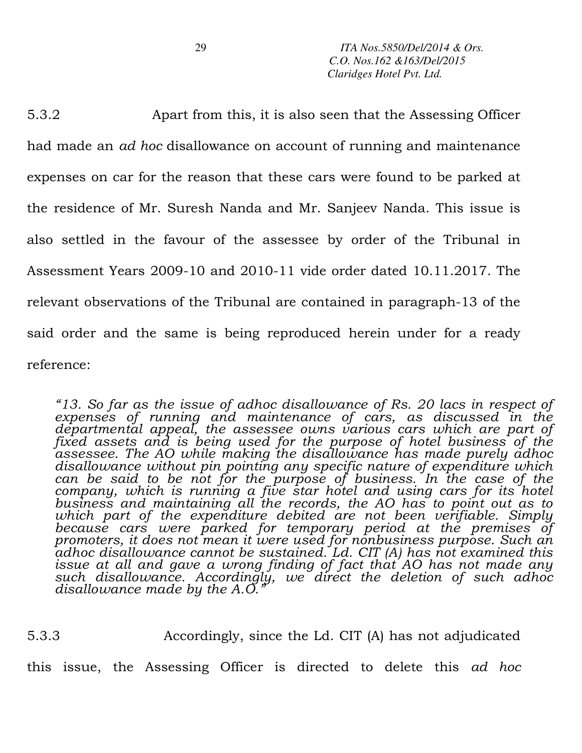5.3.2 Apart from this, it is also seen that the Assessing Officer had made an *ad hoc* disallowance on account of running and maintenance expenses on car for the reason that these cars were found to be parked at the residence of Mr. Suresh Nanda and Mr. Sanjeev Nanda. This issue is also settled in the favour of the assessee by order of the Tribunal in Assessment Years 2009-10 and 2010-11 vide order dated 10.11.2017. The relevant observations of the Tribunal are contained in paragraph-13 of the said order and the same is being reproduced herein under for a ready reference:

*"13. So far as the issue of adhoc disallowance of Rs. 20 lacs in respect of expenses of running and maintenance of cars, as discussed in the departmental appeal, the assessee owns various cars which are part of fixed assets and is being used for the purpose of hotel business of the assessee. The AO while making the disallowance has made purely adhoc disallowance without pin pointing any specific nature of expenditure which can be said to be not for the purpose of business. In the case of the company, which is running a five star hotel and using cars for its hotel business and maintaining all the records, the AO has to point out as to which part of the expenditure debited are not been verifiable. Simply because cars were parked for temporary period at the premises of promoters, it does not mean it were used for nonbusiness purpose. Such an adhoc disallowance cannot be sustained. Ld. CIT (A) has not examined this issue at all and gave a wrong finding of fact that AO has not made any such disallowance. Accordingly, we direct the deletion of such adhoc disallowance made by the A.O."* 

5.3.3 Accordingly, since the Ld. CIT (A) has not adjudicated

this issue, the Assessing Officer is directed to delete this *ad hoc*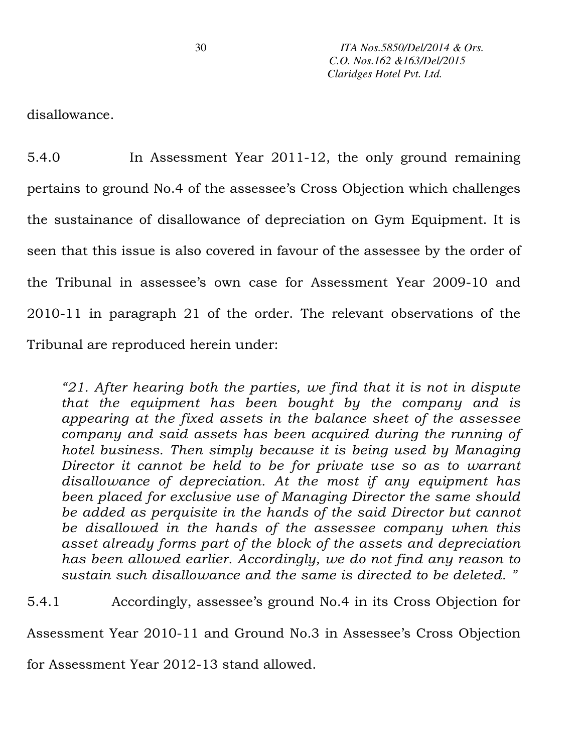disallowance.

5.4.0 In Assessment Year 2011-12, the only ground remaining pertains to ground No.4 of the assessee's Cross Objection which challenges the sustainance of disallowance of depreciation on Gym Equipment. It is seen that this issue is also covered in favour of the assessee by the order of the Tribunal in assessee's own case for Assessment Year 2009-10 and 2010-11 in paragraph 21 of the order. The relevant observations of the Tribunal are reproduced herein under:

*"21. After hearing both the parties, we find that it is not in dispute that the equipment has been bought by the company and is appearing at the fixed assets in the balance sheet of the assessee company and said assets has been acquired during the running of hotel business. Then simply because it is being used by Managing Director it cannot be held to be for private use so as to warrant disallowance of depreciation. At the most if any equipment has been placed for exclusive use of Managing Director the same should be added as perquisite in the hands of the said Director but cannot be disallowed in the hands of the assessee company when this asset already forms part of the block of the assets and depreciation has been allowed earlier. Accordingly, we do not find any reason to sustain such disallowance and the same is directed to be deleted. "* 

5.4.1 Accordingly, assessee's ground No.4 in its Cross Objection for Assessment Year 2010-11 and Ground No.3 in Assessee's Cross Objection

for Assessment Year 2012-13 stand allowed.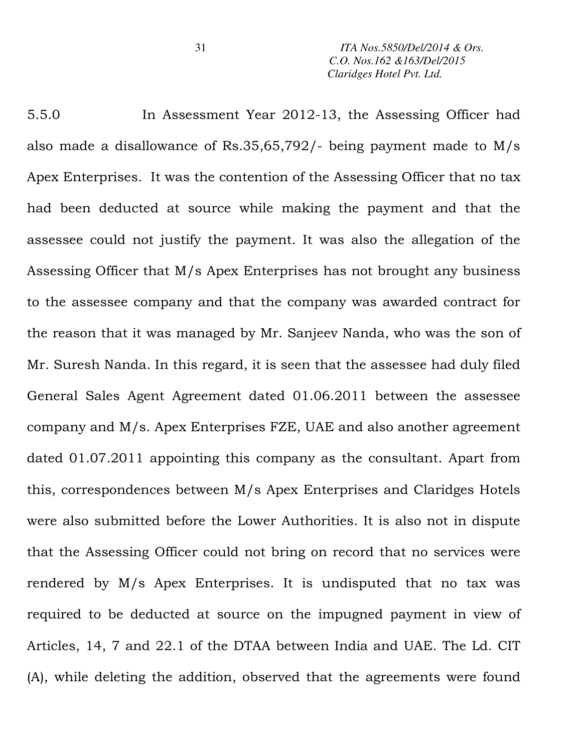5.5.0 In Assessment Year 2012-13, the Assessing Officer had also made a disallowance of Rs.35,65,792/- being payment made to M/s Apex Enterprises. It was the contention of the Assessing Officer that no tax had been deducted at source while making the payment and that the assessee could not justify the payment. It was also the allegation of the Assessing Officer that M/s Apex Enterprises has not brought any business to the assessee company and that the company was awarded contract for the reason that it was managed by Mr. Sanjeev Nanda, who was the son of Mr. Suresh Nanda. In this regard, it is seen that the assessee had duly filed General Sales Agent Agreement dated 01.06.2011 between the assessee company and M/s. Apex Enterprises FZE, UAE and also another agreement dated 01.07.2011 appointing this company as the consultant. Apart from this, correspondences between M/s Apex Enterprises and Claridges Hotels were also submitted before the Lower Authorities. It is also not in dispute that the Assessing Officer could not bring on record that no services were rendered by M/s Apex Enterprises. It is undisputed that no tax was required to be deducted at source on the impugned payment in view of Articles, 14, 7 and 22.1 of the DTAA between India and UAE. The Ld. CIT (A), while deleting the addition, observed that the agreements were found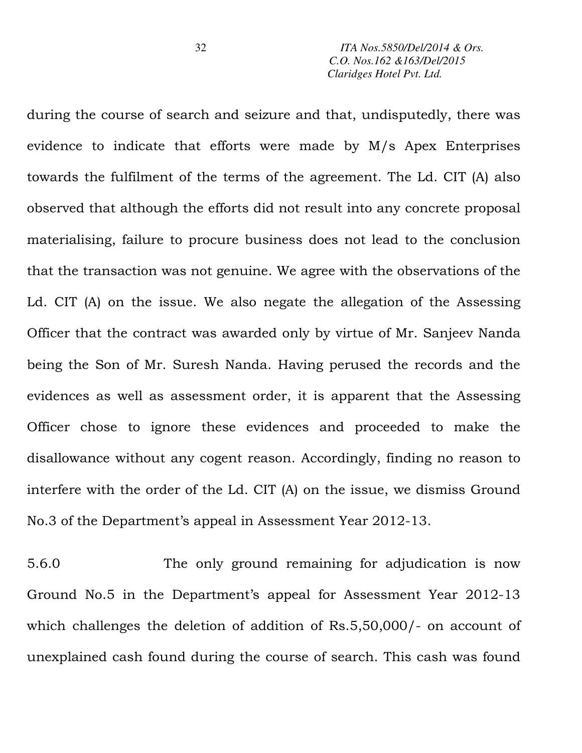during the course of search and seizure and that, undisputedly, there was evidence to indicate that efforts were made by M/s Apex Enterprises towards the fulfilment of the terms of the agreement. The Ld. CIT (A) also observed that although the efforts did not result into any concrete proposal materialising, failure to procure business does not lead to the conclusion that the transaction was not genuine. We agree with the observations of the Ld. CIT (A) on the issue. We also negate the allegation of the Assessing Officer that the contract was awarded only by virtue of Mr. Sanjeev Nanda being the Son of Mr. Suresh Nanda. Having perused the records and the evidences as well as assessment order, it is apparent that the Assessing Officer chose to ignore these evidences and proceeded to make the disallowance without any cogent reason. Accordingly, finding no reason to interfere with the order of the Ld. CIT (A) on the issue, we dismiss Ground No.3 of the Department's appeal in Assessment Year 2012-13.

5.6.0 The only ground remaining for adjudication is now Ground No.5 in the Department's appeal for Assessment Year 2012-13 which challenges the deletion of addition of Rs.5,50,000/- on account of unexplained cash found during the course of search. This cash was found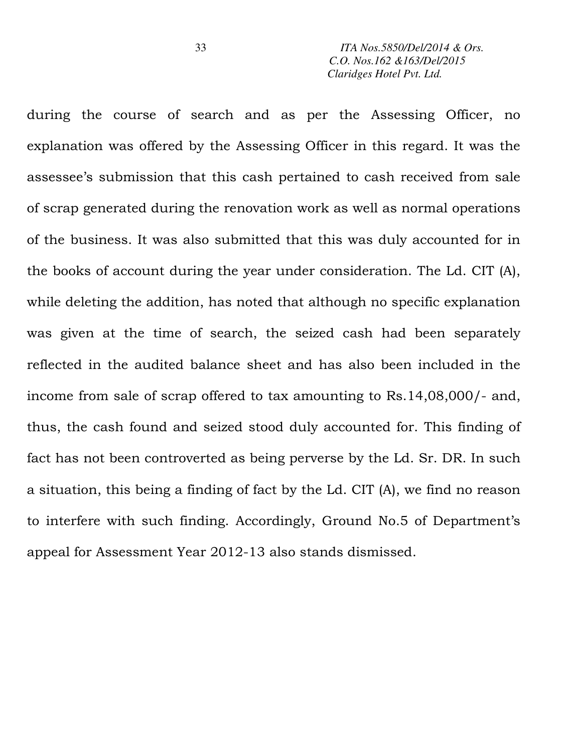during the course of search and as per the Assessing Officer, no explanation was offered by the Assessing Officer in this regard. It was the assessee's submission that this cash pertained to cash received from sale of scrap generated during the renovation work as well as normal operations of the business. It was also submitted that this was duly accounted for in the books of account during the year under consideration. The Ld. CIT (A), while deleting the addition, has noted that although no specific explanation was given at the time of search, the seized cash had been separately reflected in the audited balance sheet and has also been included in the income from sale of scrap offered to tax amounting to Rs.14,08,000/- and, thus, the cash found and seized stood duly accounted for. This finding of fact has not been controverted as being perverse by the Ld. Sr. DR. In such a situation, this being a finding of fact by the Ld. CIT (A), we find no reason to interfere with such finding. Accordingly, Ground No.5 of Department's appeal for Assessment Year 2012-13 also stands dismissed.